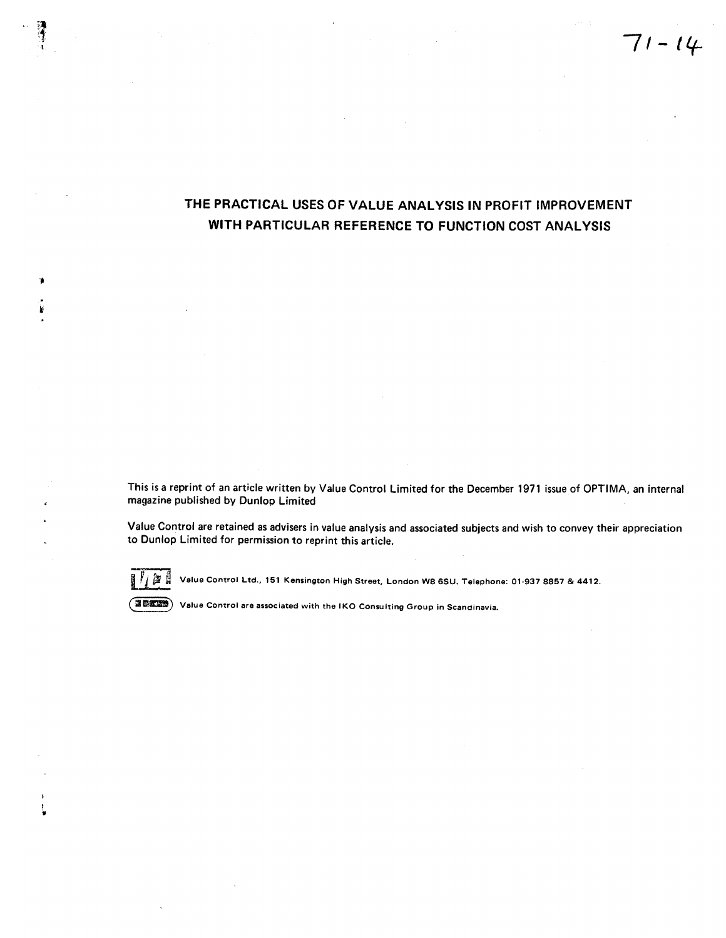# THE PRACTICAL USES OF VALUE ANALYSIS IN PROFIT IMPROVEMENT WITH PARTICULAR REFERENCE TO FUNCTION COST ANALYSIS

This is a reprint of an article written by Value Control Limited for the December 1971 issue of OPTIMA, an internal magazine published by Dunlop Limited

Value Control are retained as advisers in value analysis and associated subjects and wish to convey their appreciation to Dunlop Limited for permission to reprint this article.



Value Control Ltd., 151 Kensington High Street, London W8 6SU. Telephone: 01-937 8857 & 4412.



Value Control are associated with the IKO Consulting Group in Scandinavia.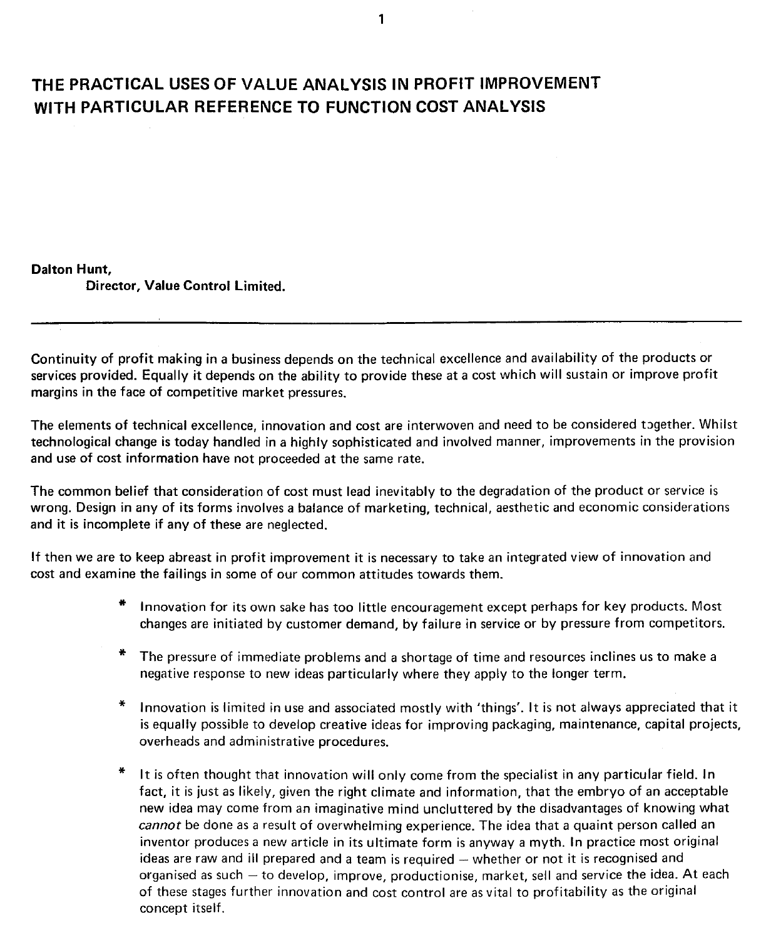## **THE PRACTICAL USES OF VALUE ANALYSIS IN PROFIT IMPROVEMENT WITH PARTICULAR REFERENCE TO FUNCTION COST ANALYSIS**

### Dalton **Hunt,**

Director, Value Control Limited.

Continuity of profit making in a business depends on the technical excellence and availability of the products or services provided. Equally it depends on the ability to provide these at a cost which will sustain or improve profit margins in the face of competitive market pressures.

The elements of technical excellence, innovation and cost are interwoven and need to be considered together. Whilst technological change is today handled in a highly sophisticated and involved manner, improvements in the provision and use of cost information have not proceeded at the same rate.

The common belief that consideration of cost must lead inevitably to the degradation of the product or service is wrong. Design in any of its forms involves a balance of marketing, technical, aesthetic and economic considerations and it is incomplete if any of these are neglected.

If then we are to keep abreast in profit improvement it is necessary to take an integrated view of innovation and cost and examine the failings in some of our common attitudes towards them.

- Innovation for its own sake has too little encouragement except perhaps for key products. Most changes are initiated by customer demand, by failure in service or by pressure from competitors.
- The pressure of immediate problems and a shortage of time and resources inclines us to make a negative response to new ideas particularly where they apply to the longer term.
- Innovation is limited in use and associated mostly with 'things'. It is not always appreciated that it is equally possible to develop creative ideas for improving packaging, maintenance, capital projects, overheads and administrative procedures.
- It is often thought that innovation will only come from the specialist in any particular field. In fact, it is just as likely, given the right climate and information, that the embryo of an acceptable new idea may come from an imaginative mind uncluttered by the disadvantages of knowing what cannot be done as a result of overwhelming experience. The idea that a quaint person called an inventor produces a new article in its ultimate form is anyway a myth. In practice most original ideas are raw and ill prepared and a team is required - whether or not it is recognised and organised as such - to develop, improve, productionise, market, sell and service the idea. At each of these stages further innovation and cost control are as vital to profitability as the original concept itself.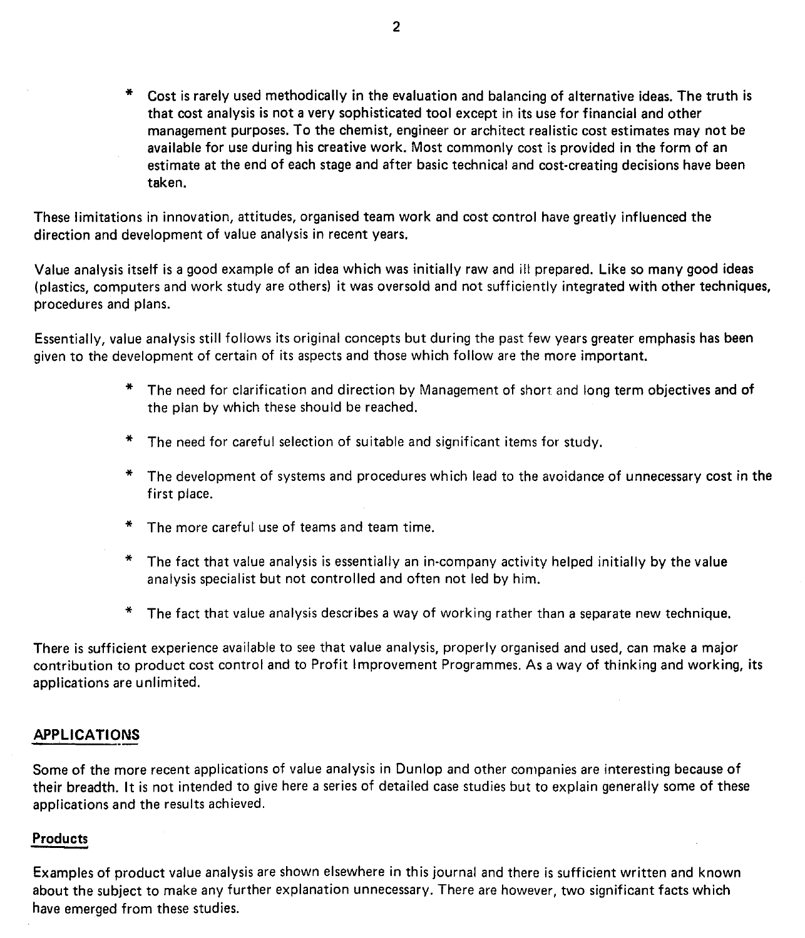Cost is rarely used methodically in the evaluation and balancing of alternative ideas. The truth is that cost analysis is not a very sophisticated tool except in its use for financial and other management purposes. To the chemist, engineer or architect realistic cost estimates may not be available for use during his creative work. Most commonly cost is provided in the form of an estimate at the end of each stage and after basic technical and cost-creating decisions have been taken.

These limitations in innovation, attitudes, organised team work and cost control have greatly influenced the direction and development of value analysis in recent years.

Value analysis itself is a good example of an idea which was initially raw and ill prepared. Like so many good ideas (plastics, computers and work study are others) it was oversold and not sufficiently integrated with other techniques, procedures and plans.

Essentially, value analysis still follows its original concepts but during the past few years greater emphasis has been given to the development of certain of its aspects and those which follow are the more important.

- \* The need for clarification and direction by Management of short and long term objectives and of the plan by which these should be reached.
- \* The need for careful selection of suitable and significant items for study.
- \* The development of systems and procedures which lead to the avoidance of unnecessary cost in the first place.
- \* The more careful use of teams and team time.
- \* The fact that value analysis is essentially an in-company activity helped initially by the value analysis specialist but not controlled and often not led by him.
- \* The fact that value analysis describes a way of working rather than a separate new technique.

There is sufficient experience available to see that value analysis, properly organised and used, can make a major contribution to product cost control and to Profit Improvement Programmes. As a way of thinking and working, its applications are unlimited.

### **APPLICATIONS** --

Some of the more recent applications of value analysis in Dunlop and other companies are interesting because of their breadth. It is not intended to give here a series of detailed case studies but to explain generally some of these applications and the results achieved.

### Products

Examples of product value analysis are shown elsewhere in this journal and there is sufficient written and known about the subject to make any further explanation unnecessary. There are however, two significant facts which have emerged from these studies.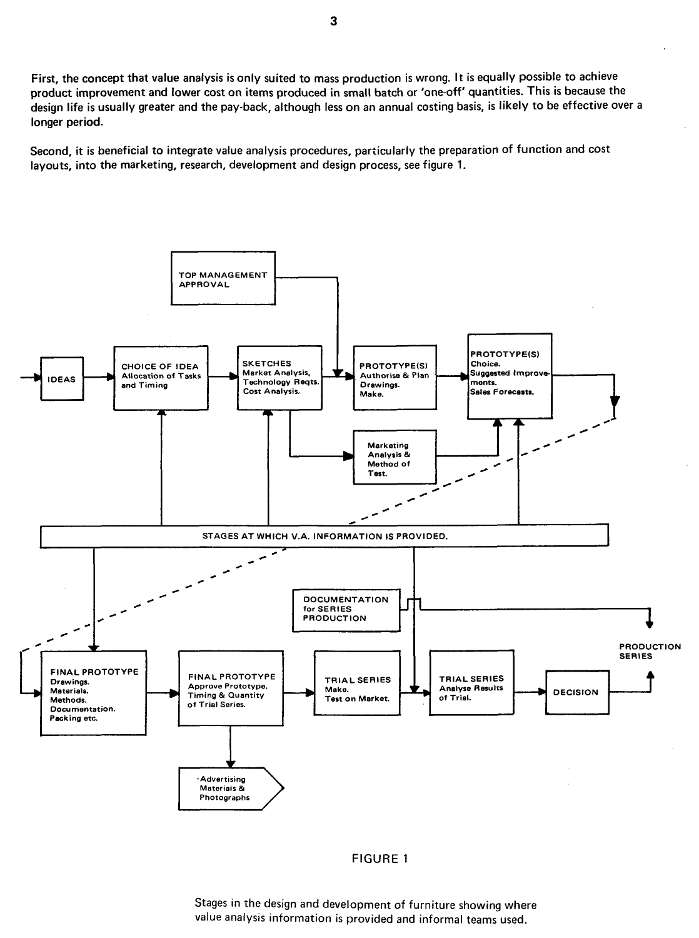First, the concept that value analysis is only suited to mass production is wrong. It is equally possible to achieve product improvement and lower cost on items produced in small batch or 'one-off' quantities. This is because the design life is usually greater and the pay-back, although less on an annual costing basis, is likely to be effective over a longer period.

Second, it is beneficial to integrate value analysis procedures, particularly the preparation of function and cost layouts, into the marketing, research, development and design process, see figure 1.



#### FIGURE **1**

Stages in the design and development of furniture showing where value analysis information is provided and informal teams used.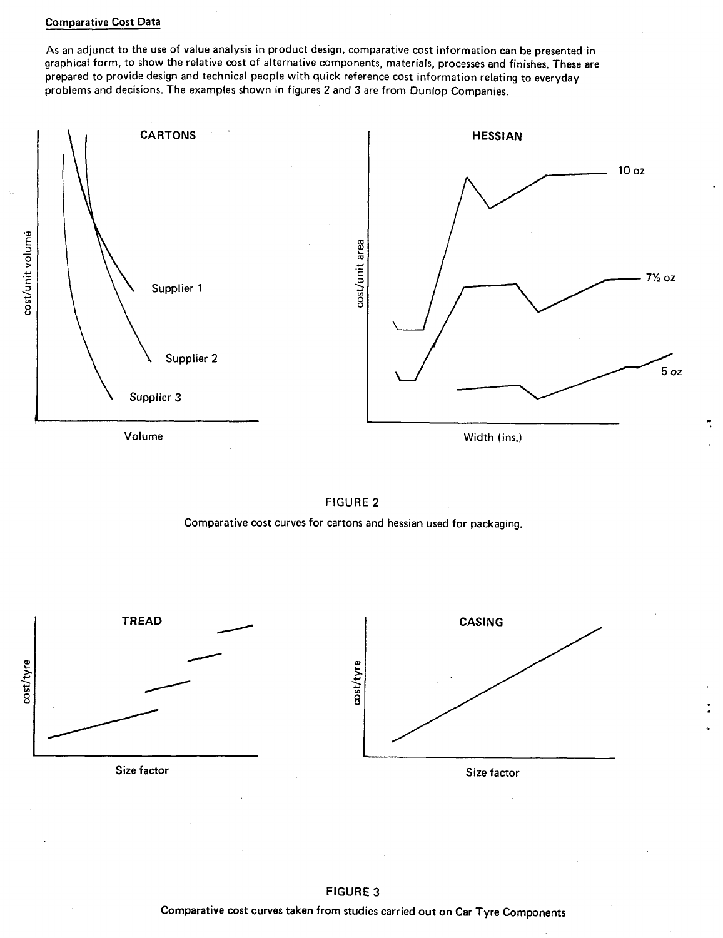### Comparative Cost Data

As an adjunct to the use of value analysis in product design, comparative cost information can be presented in graphical form, to show the relative cost of alternative components, materials, processes and finishes. These are prepared to provide design and technical people with quick reference cost information relating to everyday problems and decisions. The examples shown in figures 2 and 3 are from Dunlop Companies.





Comparative cost curves for cartons and hessian used for packaging.





FIGURE 3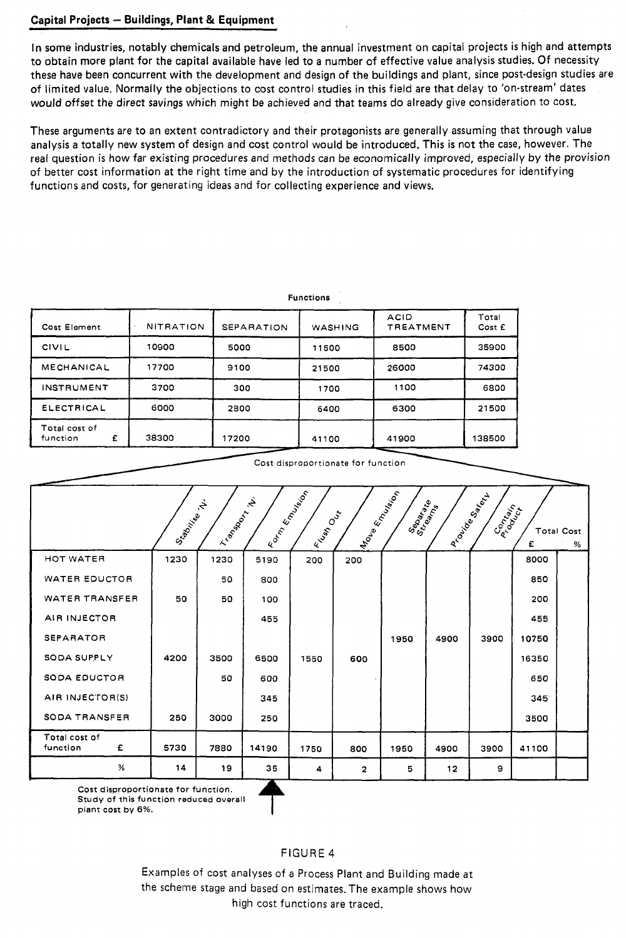### Capital Projects - Buildings, Plant & Equipment

In some industries, notably chemicals and petroleum, the annual investment on capital projects is high and attempts to obtain more plant for the capital available have led to a number of effective value analysis studies. Of necessity these have been concurrent with the development and design of the buildings and plant, since post-design studies are of limited value. Normally the objections to cost control studies in this field are that delay to 'on-stream' dates would offset the direct savings which might be achieved and that teams do already give consideration to cost.

These arguments are to an extent contradictory and their protagonists are generally assuming that through value analysis a totally new system of design and cost control would be introduced. This is not the case, however. The real question is how far existing procedures and methods can be economically improved, especially by the provision of better cost information at the right time and by the introduction of systematic procedures for identifying functions and costs, for generating ideas and for collecting experience and views.

|                                | <b>Functions</b> |                   |         |                                 |                 |  |  |  |  |  |  |
|--------------------------------|------------------|-------------------|---------|---------------------------------|-----------------|--|--|--|--|--|--|
| Cost Element                   | <b>NITRATION</b> | <b>SEPARATION</b> | WASHING | <b>ACID</b><br><b>TREATMENT</b> | Total<br>Cost E |  |  |  |  |  |  |
| <b>CIVIL</b>                   | 10900            | 5000              | 11500   | 8500                            |                 |  |  |  |  |  |  |
| MECHANICAL                     | 17700            | 9100              | 21500   | 26000                           | 74300           |  |  |  |  |  |  |
| <b>INSTRUMENT</b>              | 3700             | 300               | 1700    | 1100                            | 6800            |  |  |  |  |  |  |
| ELECTRICAL                     | 6000             | 2800              | 6400    | 6300                            | 21500           |  |  |  |  |  |  |
| Total cost of<br>£<br>function | 38300            | 17200             | 41100   | 41900                           | 138500          |  |  |  |  |  |  |

Cost disproportionate for function

|                                | Staging Rt. | LI BASSOS | IRON ROAD ASIAN ASIAN I<br>$\mathcal{L}$ | Elisation Creek | <b>India Employee</b> | Separate<br>Stranate |      | I Procise Repi<br>Composition | £     | <b>Total Cost</b><br>% |
|--------------------------------|-------------|-----------|------------------------------------------|-----------------|-----------------------|----------------------|------|-------------------------------|-------|------------------------|
| HOT WATER                      | 1230        | 1230      | 5190                                     | 200             | 200                   |                      |      |                               | 8000  |                        |
| WATER EDUCTOR                  |             | 50        | 800                                      |                 |                       |                      |      |                               | 850   |                        |
| <b>WATER TRANSFER</b>          | 50          | 50        | 100                                      |                 |                       |                      |      |                               | 200   |                        |
| AIR INJECTOR                   |             |           | 455                                      |                 |                       |                      |      |                               | 455   |                        |
| <b>SEPARATOR</b>               |             |           |                                          |                 |                       | 1950                 | 4900 | 3900                          | 10750 |                        |
| SODA SUPPLY                    | 4200        | 3500      | 6500                                     | 1550            | 600                   |                      |      |                               | 16350 |                        |
| SODA EDUCTOR                   |             | 50        | 600                                      |                 |                       |                      |      |                               | 650   |                        |
| AIR INJECTOR(S)                |             |           | 345                                      |                 |                       |                      |      |                               | 345   |                        |
| <b>SODA TRANSFER</b>           | 250         | 3000      | 250                                      |                 |                       |                      |      |                               | 3500  |                        |
| Total cost of<br>function<br>£ | 5730        | 7880      | 14190                                    | 1750            | 800                   | 1950                 | 4900 | 3900                          | 41100 |                        |
| %                              | 14          | 19        | 35                                       | 4               | 2                     | 5                    | 12   | 9                             |       |                        |

Cost disproportionate for function. Study of this function reduced overall plant cost by 6%.

### FIGURE 4

Examples of cost analyses of a Process Plant and Building made at the scheme stage and based on estimates. The example shows how high cost functions are traced.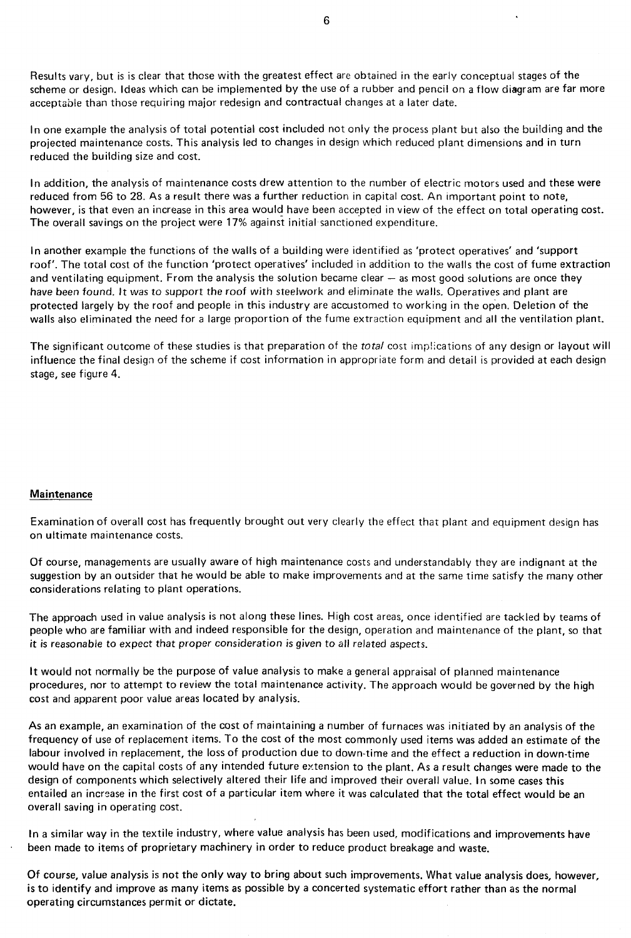Results vary, but is is clear that those with the greatest effect are obtained in the early conceptual stages of the scheme or design. Ideas which can be implemented by the use of a rubber and pencil on a flow diagram are far more acceptable than those requiring major redesign and contractual changes at a later date.

In one example the analysis of total potential cost included not only the process plant but also the building and the projected maintenance costs. This analysis led to changes in design which reduced plant dimensions and in turn reduced the building size and cost.

In addition, the analysis of maintenance costs drew attention to the number of electric motors used and these were reduced from 56 to 28. As a result there was a further reduction in capital cost. An important point to note, however, is that even an increase in this area would have been accepted in view of the effect on total operating cost. The overall savings on the project were 17% against initial sanctioned expenditure.

In another example the functions of the walls of a building were identified as 'protect operatives' and 'support roof'. The total cost of the function 'protect operatives' included in addition to the walls the cost of fume extraction and ventilating equipment. From the analysis the solution became clear  $-$  as most good solutions are once they have been found. It was to support the roof with steelwork and eliminate the walls. Operatives and plant are protected largely by the roof and people in this industry are accustomed to working in the open. Deletion of the walls also eliminated the need for a large proportion of the fume extraction equipment and all the ventilation plant.

The significant outcome of these studies is that preparation of the total cost implications of any design or layout will influence the final design of the scheme if cost information in appropriate form and detail is provided at each design stage, see figure 4.

### Maintenance

Examination of overall cost has frequently brought out very clearly the effect that plant and equipment design has on ultimate maintenance costs.

Of course, managements are usually aware of high maintenance costs and understandably they are indignant at the suggestion by an outsider that he would be able to make improvements and at the same time satisfy the many other considerations relating to plant operations.

The approach used in value analysis is not along these lines. High cost areas, once identified are tackled by teams of people who are familiar with and indeed responsible for the design, operation and maintenance of the plant, so that it is reasonable to expect that proper consideration is given to all related aspects.

It would not normally be the purpose of value analysis to make a general appraisal of planned maintenance procedures, nor to attempt to review the total maintenance activity. The approach would be governed by the high cost and apparent poor value areas located by analysis.

As an example, an examination of the cost of maintaining a number of furnaces was initiated by an analysis of the frequency of use of replacement items. To the cost of the most commonly used items was added an estimate of the labour involved in replacement, the loss of production due to down-time and the effect a reduction in down-time would have on the capital costs of any intended future extension to the plant. As a result changes were made to the design of components which selectively altered their life and improved their overall value. In some cases this entailed an increase in the first cost of a particular item where it was calculated that the total effect would be an overall saving in operating cost.

In a similar way in the textile industry, where value analysis has been used, modifications and improvements have been made to items of proprietary machinery in order to reduce product breakage and waste.

Of course, value analysis is not the only way to bring about such improvements. What value analysis does, however, is to identify and improve as many items as possible by a concerted systematic effort rather than as the normal operating circumstances permit or dictate.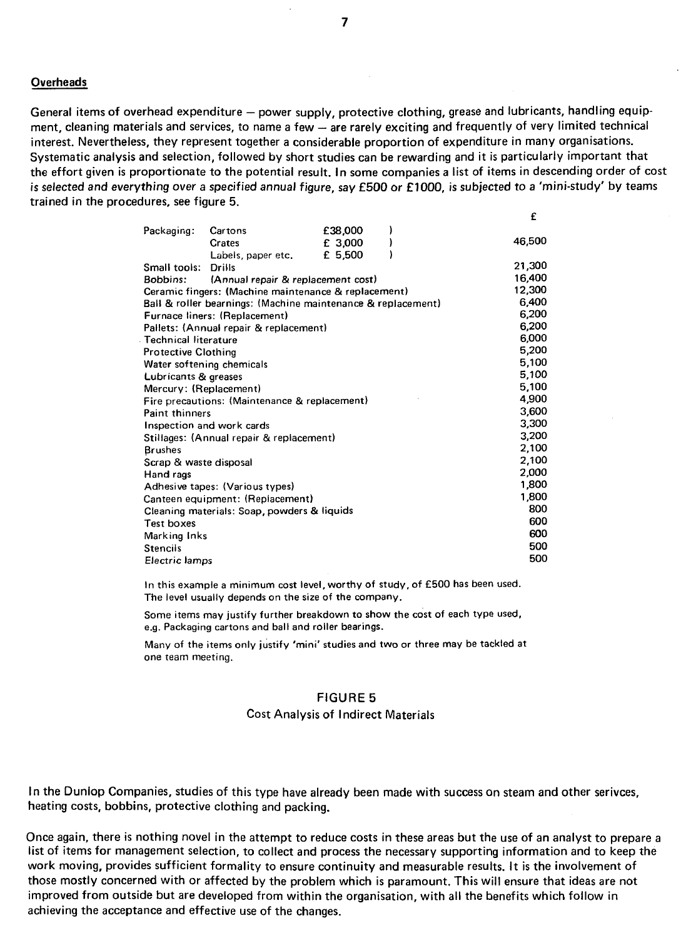#### **Overheads**

General items of overhead expenditure - power supply, protective clothing, grease and lubricants, handling equipment, cleaning materials and services, to name a few - are rarely exciting and frequently of very limited technical interest. Nevertheless, they represent together a considerable proportion of expenditure in many organisations. Systematic analysis and selection, followed by short studies can be rewarding and it is particularly important that the effort given is proportionate to the potential result. In some companies a list of items in descending order of cost is selected and everything over a specified annual figure, say £500 or £1000, is subjected to a 'mini-study' by teams trained in the procedures, see figure 5.

•'

| Packaging:                  | Cartons                                                      | £38,000 |        |
|-----------------------------|--------------------------------------------------------------|---------|--------|
|                             | <b>Crates</b>                                                | £ 3,000 | 46,500 |
|                             | Labels, paper etc.                                           | £ 5,500 |        |
| Small tools:                | Drills                                                       |         | 21,300 |
| Bobbins:                    | (Annual repair & replacement cost)                           |         | 16,400 |
|                             | Ceramic fingers: (Machine maintenance & replacement)         |         | 12,300 |
|                             | Ball & roller bearnings: (Machine maintenance & replacement) |         | 6,400  |
|                             | Furnace liners: (Replacement)                                |         | 6,200  |
|                             | Pallets: (Annual repair & replacement)                       |         | 6,200  |
| <b>Technical literature</b> |                                                              |         | 6,000  |
| <b>Protective Clothing</b>  |                                                              |         | 5,200  |
| Water softening chemicals   |                                                              |         | 5,100  |
| Lubricants & greases        |                                                              |         | 5,100  |
| Mercury: (Replacement)      |                                                              |         | 5,100  |
|                             | Fire precautions: (Maintenance & replacement)                |         | 4,900  |
| <b>Paint thinners</b>       |                                                              |         | 3,600  |
|                             | Inspection and work cards                                    |         | 3,300  |
|                             | Stillages: (Annual repair & replacement)                     |         | 3,200  |
| <b>Brushes</b>              |                                                              |         | 2,100  |
| Scrap & waste disposal      |                                                              |         | 2,100  |
| Hand rags                   |                                                              |         | 2,000  |
|                             | Adhesive tapes: (Various types)                              |         | 1,800  |
|                             | Canteen equipment: (Replacement)                             |         | 1,800  |
|                             | Cleaning materials: Soap, powders & liquids                  |         | 800    |
| Test boxes                  |                                                              |         | 600    |
| Marking Inks                |                                                              |         | 600    |
| <b>Stencils</b>             |                                                              |         | 500    |
| Electric lamps              |                                                              |         | 500    |

In this example a minimum cost level, worthy of study, of **•'500** has been used. The level usually depends on the size of the company.

Some items may justify further breakdown to show the cost of each type used, e.g. Packaging cartons and ball and roller bearings.

Many of the items only justify 'mini' studies and two or three may be tackled at one team meeting.

### FIGURE 5

#### Cost Analysis of Indirect Materials

In the Duniop Companies, studies of this type have already been made with success on steam and other serivces, heating costs, bobbins, protective clothing and packing.

Once again, there is nothing novel in the attempt to reduce costs in these areas but the use of an analyst to prepare a list of items for management selection, to collect and process the necessary supporting information and to keep the work moving, provides sufficient formality to ensure continuity and measurable results. It is the involvement of those mostly concerned with or affected by the problem which is paramount. This will ensure that ideas are not improved from outside but are developed from within the organisation, with all the benefits which follow in achieving the acceptance and effective use of the changes.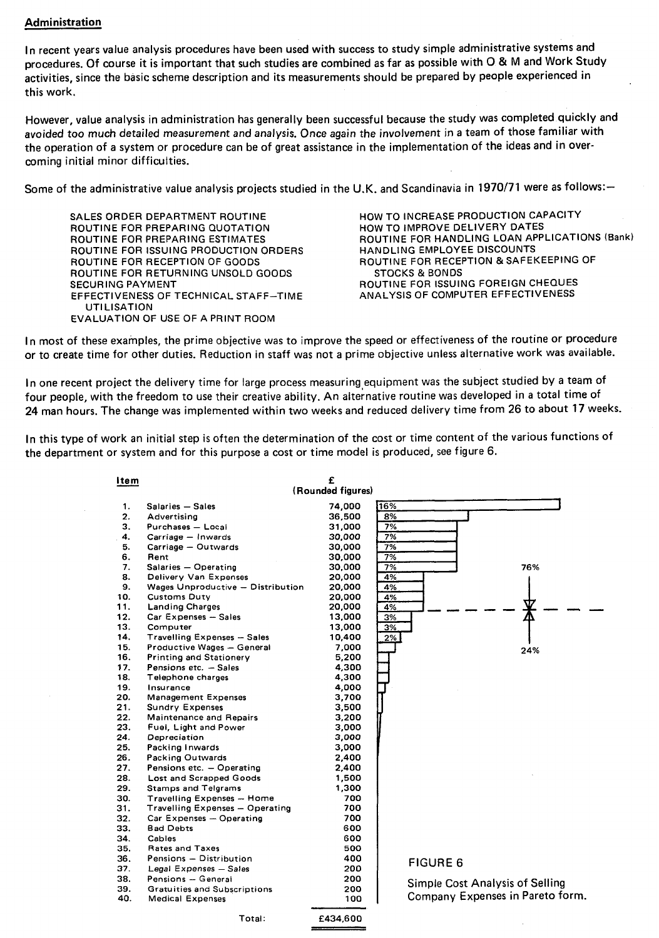### Administration

In recent years value analysis procedures have been used with success to study simple administrative systems and procedures. Of course it is important that such studies are combined as far as possible with **0** & M and Work Study activities, since the basic scheme description and its measurements should be prepared by people experienced in this work.

However, value analysis in administration has generally been successful because the study was completed quickly and avoided too much detailed measurement and analysis. Once again the involvement in a team of those familiar with the operation of a system or procedure can be of great assistance in the implementation of the ideas and in overcoming initial minor difficulties.

Some of the administrative value analysis projects studied in the U.K. and Scandinavia in 1970/71 were as follows:-

SALES ORDER DEPARTMENT ROUTINE ROUTINE FOR PREPARING QUOTATION ROUTINE FOR PREPARING ESTIMATES ROUTINE FOR ISSUING PRODUCTION ORDERS ROUTINE FOR RECEPTION OF GOODS ROUTINE FOR RETURNING UNSOLD GOODS SECURING PAYMENT EFFECTIVENESS OF TECHNICAL STAFF-TIME **UTILISATION** EVALUATION OF USE OF A PRINT ROOM

HOW TO INCREASE PRODUCTION CAPACITY HOW TO IMPROVE DELIVERY DATES ROUTINE FOR HANDLING LOAN APPLICATIONS **(Bank)**  HANDLING EMPLOYEE DISCOUNTS ROUTINE FOR RECEPTION & SAFEKEEPING OF STOCKS & BONDS ROUTINE FOR ISSUING FOREIGN CHEQUES ANALYSIS OF COMPUTER EFFECTIVENESS

In most of these examples, the prime objective was to improve the speed or effectiveness of the routine or procedure or to create time for other duties. Reduction in staff was not a prime objective unless alternative work was available.

In one recent project the delivery time for large process measuring equipment was the subject studied by a team of four people, with the freedom to use their creative ability. An alternative routine was developed in a total time of 24 man hours. The change was implemented within two weeks and reduced delivery time from 26 to about **17** weeks.

In this type of work an initial step is often the determination of the cost or time content of the various functions of the department or system and for this purpose a cost or time model is produced, see figure 6.

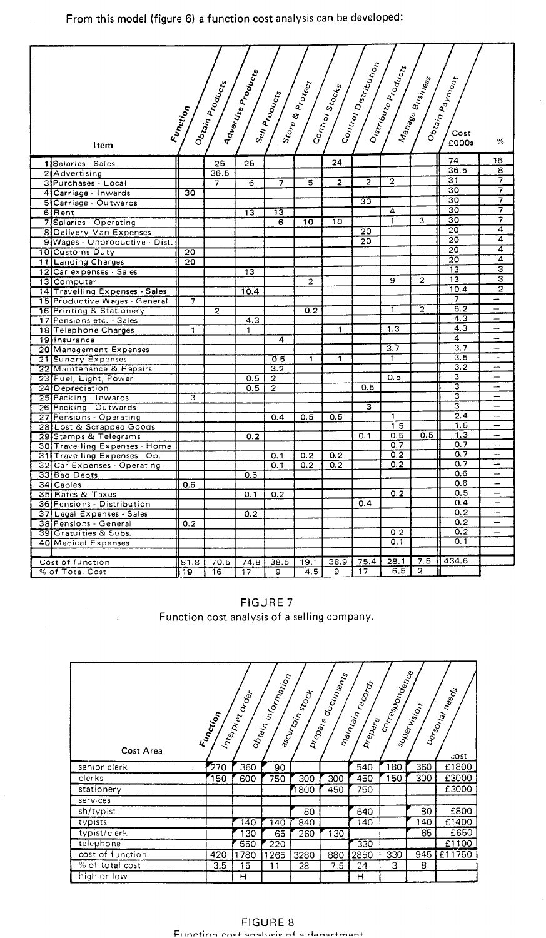| $c_{o_1}$ $c_{o_1}$ $c_{i_3}$ $c_{i_4}$ $c_{i_5}$<br>Distribute Products<br>Advertise Products<br>Manage Business<br>Obtain Payment<br>Obtain Products<br>Stor <sub>e &amp; Protect</sub><br>$s_{\imath_{o_{c_{k_s}}}}$<br>Sell Products<br>Function<br>Control.<br>Cost |                 |                |      |                         |                |                |                 |                  |                |                  |                          |
|--------------------------------------------------------------------------------------------------------------------------------------------------------------------------------------------------------------------------------------------------------------------------|-----------------|----------------|------|-------------------------|----------------|----------------|-----------------|------------------|----------------|------------------|--------------------------|
| Item                                                                                                                                                                                                                                                                     |                 |                |      |                         |                |                |                 |                  |                | £000s            | %                        |
| 1 Salaries - Sales                                                                                                                                                                                                                                                       |                 | 25             | 25   |                         |                | 24             |                 |                  |                | 74               | 16                       |
| 2 Advertising                                                                                                                                                                                                                                                            |                 | 36.5           |      |                         |                |                |                 |                  |                | 36.5             | 8                        |
| 3 Purchases - Local                                                                                                                                                                                                                                                      |                 | 7              | 6    |                         | 5              | $\overline{2}$ | $\overline{2}$  | $\overline{2}$   |                | $\overline{31}$  | 7                        |
| 4 Carriage - Inwards                                                                                                                                                                                                                                                     | 30              |                |      |                         |                |                |                 |                  |                | 30               | 7                        |
| 5 Carriage - Outwards                                                                                                                                                                                                                                                    |                 |                |      |                         |                |                | $\overline{30}$ |                  |                | 30               | 7                        |
| 6 Rent                                                                                                                                                                                                                                                                   |                 |                | 13   | 13                      |                |                |                 | 4                |                | $\overline{30}$  | 7                        |
| 7 Salaries - Operating                                                                                                                                                                                                                                                   |                 |                |      | 6                       | 10             | 10             |                 | $\overline{1}$   | 3              | $\overline{30}$  | 7                        |
| 8 Delivery Van Expenses                                                                                                                                                                                                                                                  |                 |                |      |                         |                |                | 20              |                  |                | $\overline{20}$  | 4                        |
| 9 Wages - Unproductive - Dist.                                                                                                                                                                                                                                           |                 |                |      |                         |                |                | 20              |                  |                | 20               | 4                        |
| 10 Customs Duty                                                                                                                                                                                                                                                          | $\overline{20}$ |                |      |                         |                |                |                 |                  |                | $\overline{20}$  | 4                        |
| 11 Landing Charges                                                                                                                                                                                                                                                       | 20              |                |      |                         |                |                |                 |                  |                | $\overline{20}$  | 4                        |
| Car expenses - Sales<br>$\overline{12}$                                                                                                                                                                                                                                  |                 |                | 13   |                         |                |                |                 |                  |                | $\overline{13}$  | 3                        |
| 13 Computer                                                                                                                                                                                                                                                              |                 |                |      |                         | $\overline{2}$ |                |                 | 9                | $\overline{a}$ | 13               | 3                        |
| 14 Travelling Expenses - Sales                                                                                                                                                                                                                                           |                 |                | 10.4 |                         |                |                |                 |                  |                | 10.4             | $\overline{\mathbf{2}}$  |
| 15 Productive Wages - General                                                                                                                                                                                                                                            | 7               |                |      |                         |                |                |                 |                  |                | 7                |                          |
| <b>16 Printing &amp; Stationery</b>                                                                                                                                                                                                                                      |                 | $\overline{2}$ |      |                         | 0.2            |                |                 | Ŧ                | 2              | 5.2              |                          |
| 17 Pensions etc. - Sales                                                                                                                                                                                                                                                 |                 |                | 4.3  |                         |                |                |                 |                  |                | 4.3              | $\qquad \qquad -$        |
| 18 Telephone Charges                                                                                                                                                                                                                                                     | 1               |                | 1    |                         |                | $\mathbf{1}$   |                 | $1.\overline{3}$ |                | 4.3              |                          |
| 19 Insurance                                                                                                                                                                                                                                                             |                 |                |      | 4                       |                |                |                 |                  |                | $\overline{4}$   |                          |
| 20 Management Expenses                                                                                                                                                                                                                                                   |                 |                |      |                         |                |                |                 | 3.7              |                | $\overline{3.7}$ | u.                       |
| 21 Sundry Expenses                                                                                                                                                                                                                                                       |                 |                |      | 0.5                     | T              | 1              |                 | 1                |                | $\overline{3.5}$ | $\overline{\phantom{0}}$ |
| 22 Maintenance & Repairs                                                                                                                                                                                                                                                 |                 |                |      | $\overline{3.2}$        |                |                |                 |                  |                | $\overline{3.2}$ | u.                       |
| 23 Fuel, Light, Power                                                                                                                                                                                                                                                    |                 |                | 0.5  | $\overline{\mathbf{c}}$ |                |                |                 | 0.5              |                | 3                | $\overline{\phantom{0}}$ |
| 24 Depreciation                                                                                                                                                                                                                                                          |                 |                | 0.5  | $\overline{2}$          |                |                | 0.5             |                  |                | 3                | $\overline{\phantom{0}}$ |
|                                                                                                                                                                                                                                                                          | 3               |                |      |                         |                |                |                 |                  |                | 3                | -                        |
| 25 Packing - Inwards                                                                                                                                                                                                                                                     |                 |                |      |                         |                |                | 3               |                  |                | 3                | L.                       |
| 26 Packing - Outwards<br>27 Pensions - Operating                                                                                                                                                                                                                         |                 |                |      | 0.4                     | 0.5            | 0.5            |                 | 1                |                | 2.4              | $\overline{ }$           |
|                                                                                                                                                                                                                                                                          |                 |                |      |                         |                |                |                 | $\overline{1.5}$ |                | 1.5              | $\overline{\phantom{0}}$ |
| 28 Lost & Scrapped Goods                                                                                                                                                                                                                                                 |                 |                |      |                         |                |                | 0.1             | 0.5              | 0.5            | $\overline{1.3}$ | u.                       |
| 29 Stamps & Telegrams                                                                                                                                                                                                                                                    |                 |                | 0.2  |                         |                |                |                 | $\overline{0.7}$ |                | 0.7              | -                        |
| 30 Travelling Expenses - Home<br>31 Travelling Expenses - Op.                                                                                                                                                                                                            |                 |                |      | 0.1                     | 0.2            | 0.2            |                 | 0.2              |                | 0.7              | -                        |
| Car Expenses - Operating<br>321                                                                                                                                                                                                                                          |                 |                |      | 0.1                     | 0.2            | 0.2            |                 | $\overline{0.2}$ |                | 0.7              |                          |
| 33 Bad Debts                                                                                                                                                                                                                                                             |                 |                | 0.6  |                         |                |                |                 |                  |                | 0.6              | $\overline{\phantom{0}}$ |
| 34 Cables                                                                                                                                                                                                                                                                | 0.6             |                |      |                         |                |                |                 |                  |                | 0.6              | —                        |
| 35 Rates & Taxes                                                                                                                                                                                                                                                         |                 |                | 0.1  | 0.2                     |                |                |                 | 0.2              |                | 0.5              |                          |
| 36 Pensions - Distribution                                                                                                                                                                                                                                               |                 |                |      |                         |                |                | 0.4             |                  |                | 0.4              | ∸                        |
| 37 Legal Expenses - Sales                                                                                                                                                                                                                                                |                 |                | 0.2  |                         |                |                |                 |                  |                | 0.2              | $\overline{a}$           |
| 38 Pensions - General                                                                                                                                                                                                                                                    | 0.2             |                |      |                         |                |                |                 |                  |                | 0,2              |                          |
| Gratuities & Subs.<br>39                                                                                                                                                                                                                                                 |                 |                |      |                         |                |                |                 | 0.2              |                | 0.2              | -                        |
| <b>40 Medical Expenses</b>                                                                                                                                                                                                                                               |                 |                |      |                         |                |                |                 | $\overline{0.1}$ |                | 0.1              | ⋍                        |
|                                                                                                                                                                                                                                                                          |                 |                |      |                         |                |                |                 |                  |                |                  |                          |
|                                                                                                                                                                                                                                                                          |                 |                |      |                         |                | 38.9           | 75.4            | 28.1             | 7.5            | 434.6            |                          |
| Cost of function<br>% of Total Cost                                                                                                                                                                                                                                      | 81.8            | 70.5           | 74.8 | 38.5                    | 19.1<br>4.5    | 9              | 17              | 6.5              | 2              |                  |                          |
|                                                                                                                                                                                                                                                                          | 19              | 16             | 17   | 9                       |                |                |                 |                  |                |                  |                          |

FIGURE 7

Function cost analysis of a selling company.

| Cost Area        | Function | interpret order | obtain information | ascartain stock | Drepare documents | maintain records<br>Drepare | correspondence | supervision | per <sub>sonal</sub><br>Mer <sub>sonal</sub> me <sub>eds</sub><br><b>COST</b> |
|------------------|----------|-----------------|--------------------|-----------------|-------------------|-----------------------------|----------------|-------------|-------------------------------------------------------------------------------|
| senior clerk     | 270      | 360             | 90                 |                 |                   | 540                         | 180            | 360         | £1800                                                                         |
| clerks           | 150      | 600             | 750                | 300             | 300               | 450                         | 150            | 300         | £3000                                                                         |
| stationery       |          |                 |                    | 1800            | 450               | 750                         |                |             | £3000                                                                         |
| services         |          |                 |                    |                 |                   |                             |                |             |                                                                               |
| sh/typist        |          |                 |                    | 80              |                   | 640                         |                | 80          | £800                                                                          |
| typists          |          | 140             | 40                 | 840             |                   | 140                         |                | 140         | £1400                                                                         |
| typist/clerk     |          | 130             | 65                 | 260             | 130               |                             |                | 65          | £650                                                                          |
| telephone        |          | 550             | 220                |                 |                   | 330                         |                |             | £1100                                                                         |
| cost of function | 420      | 1780            | 1265               | 3280            | 880               | 2850                        | 330            | 945         | £11750                                                                        |
| % of total cost  | 3.5      | 15              | 11                 | 28              | 7.5               | 24                          | 3              | 8           |                                                                               |
| high or low      |          | н               |                    |                 |                   | Н                           |                |             |                                                                               |

FIGURE 8 Function cost analvsis of a deoartrnent.